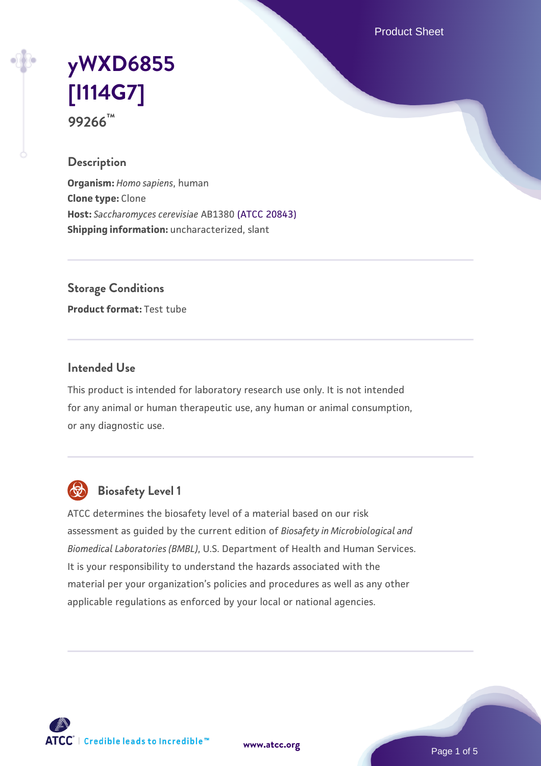Product Sheet

# **[yWXD6855](https://www.atcc.org/products/99266) [\[I114G7\]](https://www.atcc.org/products/99266) 99266™**

## **Description**

**Organism:** *Homo sapiens*, human **Clone type:** Clone **Host:** *Saccharomyces cerevisiae* AB1380 [\(ATCC 20843\)](https://www.atcc.org/products/20843) **Shipping information:** uncharacterized, slant

**Storage Conditions**

**Product format:** Test tube

### **Intended Use**

This product is intended for laboratory research use only. It is not intended for any animal or human therapeutic use, any human or animal consumption, or any diagnostic use.



## **Biosafety Level 1**

ATCC determines the biosafety level of a material based on our risk assessment as guided by the current edition of *Biosafety in Microbiological and Biomedical Laboratories (BMBL)*, U.S. Department of Health and Human Services. It is your responsibility to understand the hazards associated with the material per your organization's policies and procedures as well as any other applicable regulations as enforced by your local or national agencies.

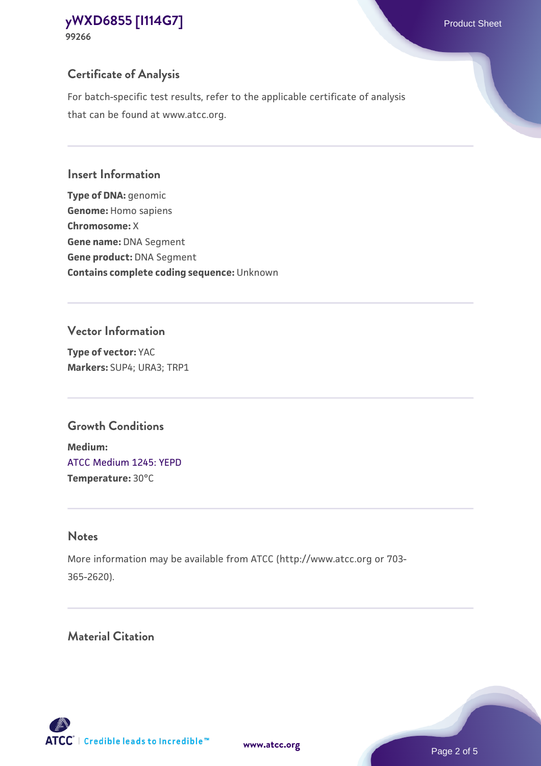## **Certificate of Analysis**

For batch-specific test results, refer to the applicable certificate of analysis that can be found at www.atcc.org.

#### **Insert Information**

**Type of DNA:** genomic **Genome:** Homo sapiens **Chromosome:** X **Gene name:** DNA Segment **Gene product:** DNA Segment **Contains complete coding sequence:** Unknown

#### **Vector Information**

**Type of vector:** YAC **Markers:** SUP4; URA3; TRP1

## **Growth Conditions**

**Medium:**  [ATCC Medium 1245: YEPD](https://www.atcc.org/-/media/product-assets/documents/microbial-media-formulations/1/2/4/5/atcc-medium-1245.pdf?rev=705ca55d1b6f490a808a965d5c072196) **Temperature:** 30°C

## **Notes**

More information may be available from ATCC (http://www.atcc.org or 703- 365-2620).

## **Material Citation**

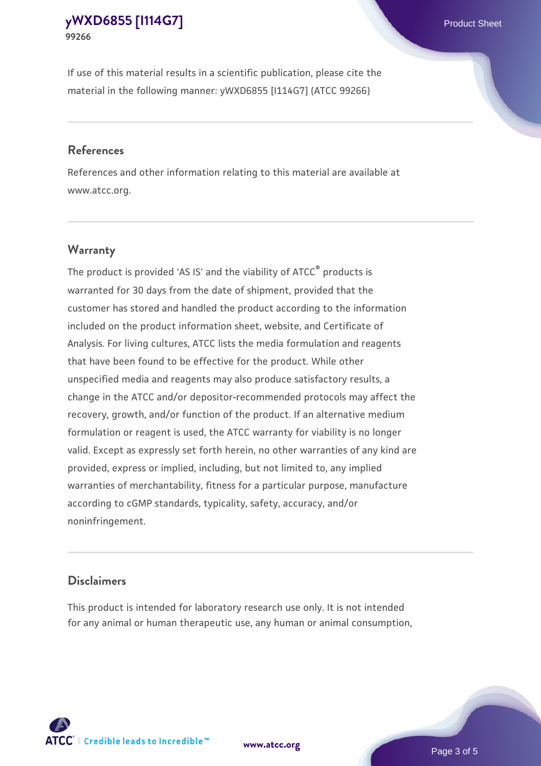If use of this material results in a scientific publication, please cite the material in the following manner: yWXD6855 [I114G7] (ATCC 99266)

#### **References**

References and other information relating to this material are available at www.atcc.org.

## **Warranty**

The product is provided 'AS IS' and the viability of  $ATCC<sup>®</sup>$  products is warranted for 30 days from the date of shipment, provided that the customer has stored and handled the product according to the information included on the product information sheet, website, and Certificate of Analysis. For living cultures, ATCC lists the media formulation and reagents that have been found to be effective for the product. While other unspecified media and reagents may also produce satisfactory results, a change in the ATCC and/or depositor-recommended protocols may affect the recovery, growth, and/or function of the product. If an alternative medium formulation or reagent is used, the ATCC warranty for viability is no longer valid. Except as expressly set forth herein, no other warranties of any kind are provided, express or implied, including, but not limited to, any implied warranties of merchantability, fitness for a particular purpose, manufacture according to cGMP standards, typicality, safety, accuracy, and/or noninfringement.

#### **Disclaimers**

This product is intended for laboratory research use only. It is not intended for any animal or human therapeutic use, any human or animal consumption,





Page 3 of 5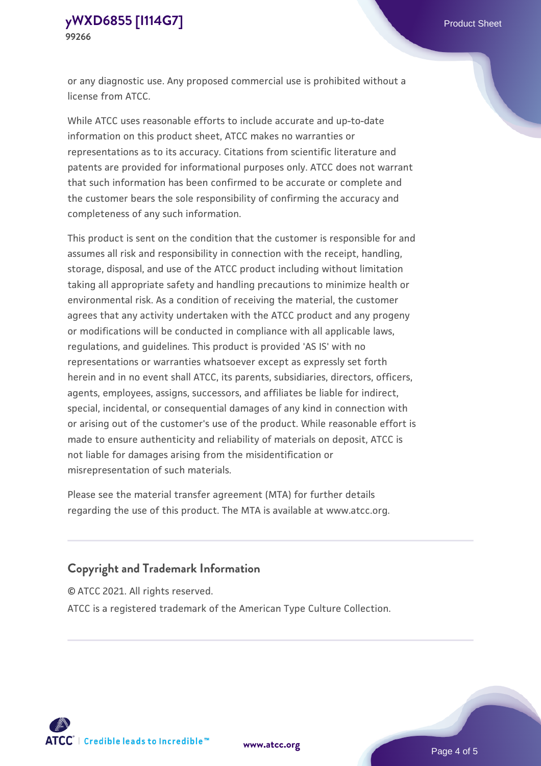or any diagnostic use. Any proposed commercial use is prohibited without a license from ATCC.

While ATCC uses reasonable efforts to include accurate and up-to-date information on this product sheet, ATCC makes no warranties or representations as to its accuracy. Citations from scientific literature and patents are provided for informational purposes only. ATCC does not warrant that such information has been confirmed to be accurate or complete and the customer bears the sole responsibility of confirming the accuracy and completeness of any such information.

This product is sent on the condition that the customer is responsible for and assumes all risk and responsibility in connection with the receipt, handling, storage, disposal, and use of the ATCC product including without limitation taking all appropriate safety and handling precautions to minimize health or environmental risk. As a condition of receiving the material, the customer agrees that any activity undertaken with the ATCC product and any progeny or modifications will be conducted in compliance with all applicable laws, regulations, and guidelines. This product is provided 'AS IS' with no representations or warranties whatsoever except as expressly set forth herein and in no event shall ATCC, its parents, subsidiaries, directors, officers, agents, employees, assigns, successors, and affiliates be liable for indirect, special, incidental, or consequential damages of any kind in connection with or arising out of the customer's use of the product. While reasonable effort is made to ensure authenticity and reliability of materials on deposit, ATCC is not liable for damages arising from the misidentification or misrepresentation of such materials.

Please see the material transfer agreement (MTA) for further details regarding the use of this product. The MTA is available at www.atcc.org.

## **Copyright and Trademark Information**

© ATCC 2021. All rights reserved.

ATCC is a registered trademark of the American Type Culture Collection.



**[www.atcc.org](http://www.atcc.org)**